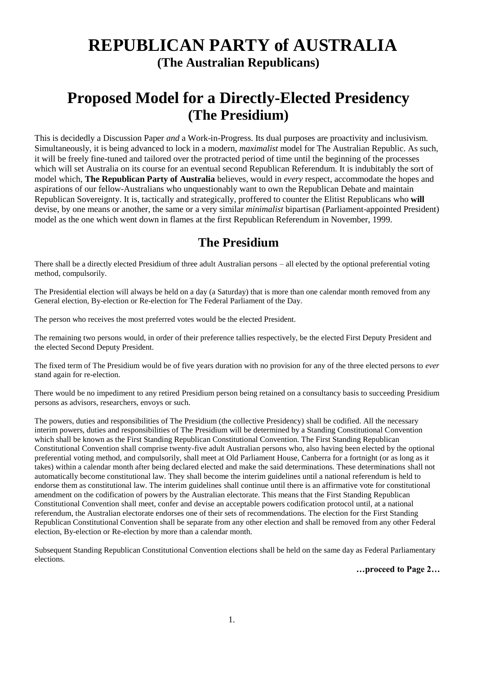## **REPUBLICAN PARTY of AUSTRALIA (The Australian Republicans)**

### **Proposed Model for a Directly-Elected Presidency (The Presidium)**

This is decidedly a Discussion Paper *and* a Work-in-Progress. Its dual purposes are proactivity and inclusivism. Simultaneously, it is being advanced to lock in a modern, *maximalist* model for The Australian Republic. As such, it will be freely fine-tuned and tailored over the protracted period of time until the beginning of the processes which will set Australia on its course for an eventual second Republican Referendum. It is indubitably the sort of model which, **The Republican Party of Australia** believes, would in *every* respect, accommodate the hopes and aspirations of our fellow-Australians who unquestionably want to own the Republican Debate and maintain Republican Sovereignty. It is, tactically and strategically, proffered to counter the Elitist Republicans who **will** devise, by one means or another, the same or a very similar *minimalist* bipartisan (Parliament-appointed President) model as the one which went down in flames at the first Republican Referendum in November, 1999.

#### **The Presidium**

There shall be a directly elected Presidium of three adult Australian persons – all elected by the optional preferential voting method, compulsorily.

The Presidential election will always be held on a day (a Saturday) that is more than one calendar month removed from any General election, By-election or Re-election for The Federal Parliament of the Day.

The person who receives the most preferred votes would be the elected President.

The remaining two persons would, in order of their preference tallies respectively, be the elected First Deputy President and the elected Second Deputy President.

The fixed term of The Presidium would be of five years duration with no provision for any of the three elected persons to *ever*  stand again for re-election.

There would be no impediment to any retired Presidium person being retained on a consultancy basis to succeeding Presidium persons as advisors, researchers, envoys or such.

The powers, duties and responsibilities of The Presidium (the collective Presidency) shall be codified. All the necessary interim powers, duties and responsibilities of The Presidium will be determined by a Standing Constitutional Convention which shall be known as the First Standing Republican Constitutional Convention. The First Standing Republican Constitutional Convention shall comprise twenty-five adult Australian persons who, also having been elected by the optional preferential voting method, and compulsorily, shall meet at Old Parliament House, Canberra for a fortnight (or as long as it takes) within a calendar month after being declared elected and make the said determinations. These determinations shall not automatically become constitutional law. They shall become the interim guidelines until a national referendum is held to endorse them as constitutional law. The interim guidelines shall continue until there is an affirmative vote for constitutional amendment on the codification of powers by the Australian electorate. This means that the First Standing Republican Constitutional Convention shall meet, confer and devise an acceptable powers codification protocol until, at a national referendum, the Australian electorate endorses one of their sets of recommendations. The election for the First Standing Republican Constitutional Convention shall be separate from any other election and shall be removed from any other Federal election, By-election or Re-election by more than a calendar month.

Subsequent Standing Republican Constitutional Convention elections shall be held on the same day as Federal Parliamentary elections.

**…proceed to Page 2…**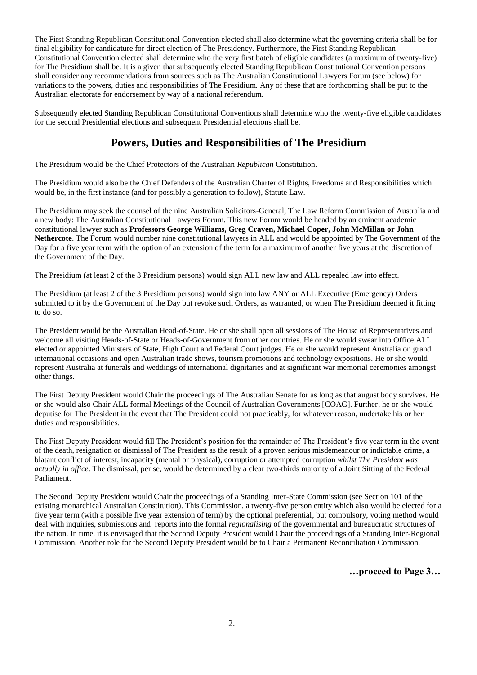The First Standing Republican Constitutional Convention elected shall also determine what the governing criteria shall be for final eligibility for candidature for direct election of The Presidency. Furthermore, the First Standing Republican Constitutional Convention elected shall determine who the very first batch of eligible candidates (a maximum of twenty-five) for The Presidium shall be. It is a given that subsequently elected Standing Republican Constitutional Convention persons shall consider any recommendations from sources such as The Australian Constitutional Lawyers Forum (see below) for variations to the powers, duties and responsibilities of The Presidium. Any of these that are forthcoming shall be put to the Australian electorate for endorsement by way of a national referendum.

Subsequently elected Standing Republican Constitutional Conventions shall determine who the twenty-five eligible candidates for the second Presidential elections and subsequent Presidential elections shall be.

#### **Powers, Duties and Responsibilities of The Presidium**

The Presidium would be the Chief Protectors of the Australian *Republican* Constitution.

The Presidium would also be the Chief Defenders of the Australian Charter of Rights, Freedoms and Responsibilities which would be, in the first instance (and for possibly a generation to follow), Statute Law.

The Presidium may seek the counsel of the nine Australian Solicitors-General, The Law Reform Commission of Australia and a new body: The Australian Constitutional Lawyers Forum. This new Forum would be headed by an eminent academic constitutional lawyer such as **Professors George Williams, Greg Craven, Michael Coper, John McMillan or John Nethercote**. The Forum would number nine constitutional lawyers in ALL and would be appointed by The Government of the Day for a five year term with the option of an extension of the term for a maximum of another five years at the discretion of the Government of the Day.

The Presidium (at least 2 of the 3 Presidium persons) would sign ALL new law and ALL repealed law into effect.

The Presidium (at least 2 of the 3 Presidium persons) would sign into law ANY or ALL Executive (Emergency) Orders submitted to it by the Government of the Day but revoke such Orders, as warranted, or when The Presidium deemed it fitting to do so.

The President would be the Australian Head-of-State. He or she shall open all sessions of The House of Representatives and welcome all visiting Heads-of-State or Heads-of-Government from other countries. He or she would swear into Office ALL elected or appointed Ministers of State, High Court and Federal Court judges. He or she would represent Australia on grand international occasions and open Australian trade shows, tourism promotions and technology expositions. He or she would represent Australia at funerals and weddings of international dignitaries and at significant war memorial ceremonies amongst other things.

The First Deputy President would Chair the proceedings of The Australian Senate for as long as that august body survives. He or she would also Chair ALL formal Meetings of the Council of Australian Governments [COAG]. Further, he or she would deputise for The President in the event that The President could not practicably, for whatever reason, undertake his or her duties and responsibilities.

The First Deputy President would fill The President's position for the remainder of The President's five year term in the event of the death, resignation or dismissal of The President as the result of a proven serious misdemeanour or indictable crime, a blatant conflict of interest, incapacity (mental or physical), corruption or attempted corruption *whilst The President was actually in office*. The dismissal, per se, would be determined by a clear two-thirds majority of a Joint Sitting of the Federal Parliament.

The Second Deputy President would Chair the proceedings of a Standing Inter-State Commission (see Section 101 of the existing monarchical Australian Constitution). This Commission, a twenty-five person entity which also would be elected for a five year term (with a possible five year extension of term) by the optional preferential, but compulsory, voting method would deal with inquiries, submissions and reports into the formal *regionalising* of the governmental and bureaucratic structures of the nation. In time, it is envisaged that the Second Deputy President would Chair the proceedings of a Standing Inter-Regional Commission. Another role for the Second Deputy President would be to Chair a Permanent Reconciliation Commission.

**…proceed to Page 3…**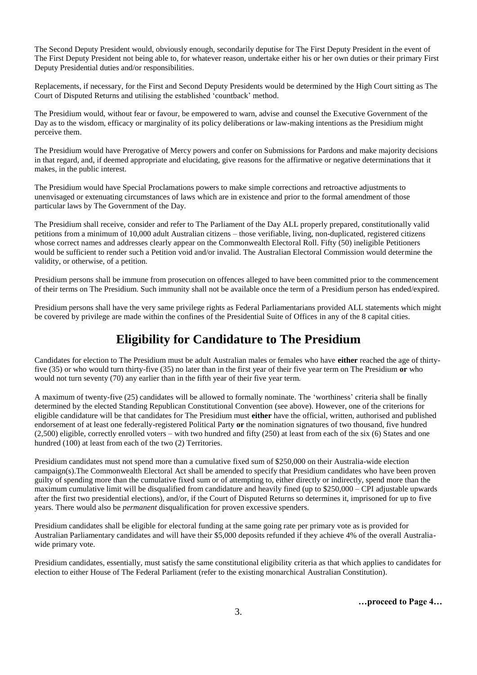The Second Deputy President would, obviously enough, secondarily deputise for The First Deputy President in the event of The First Deputy President not being able to, for whatever reason, undertake either his or her own duties or their primary First Deputy Presidential duties and/or responsibilities.

Replacements, if necessary, for the First and Second Deputy Presidents would be determined by the High Court sitting as The Court of Disputed Returns and utilising the established 'countback' method.

The Presidium would, without fear or favour, be empowered to warn, advise and counsel the Executive Government of the Day as to the wisdom, efficacy or marginality of its policy deliberations or law-making intentions as the Presidium might perceive them.

The Presidium would have Prerogative of Mercy powers and confer on Submissions for Pardons and make majority decisions in that regard, and, if deemed appropriate and elucidating, give reasons for the affirmative or negative determinations that it makes, in the public interest.

The Presidium would have Special Proclamations powers to make simple corrections and retroactive adjustments to unenvisaged or extenuating circumstances of laws which are in existence and prior to the formal amendment of those particular laws by The Government of the Day.

The Presidium shall receive, consider and refer to The Parliament of the Day ALL properly prepared, constitutionally valid petitions from a minimum of 10,000 adult Australian citizens – those verifiable, living, non-duplicated, registered citizens whose correct names and addresses clearly appear on the Commonwealth Electoral Roll. Fifty (50) ineligible Petitioners would be sufficient to render such a Petition void and/or invalid. The Australian Electoral Commission would determine the validity, or otherwise, of a petition.

Presidium persons shall be immune from prosecution on offences alleged to have been committed prior to the commencement of their terms on The Presidium. Such immunity shall not be available once the term of a Presidium person has ended/expired.

Presidium persons shall have the very same privilege rights as Federal Parliamentarians provided ALL statements which might be covered by privilege are made within the confines of the Presidential Suite of Offices in any of the 8 capital cities.

### **Eligibility for Candidature to The Presidium**

Candidates for election to The Presidium must be adult Australian males or females who have **either** reached the age of thirtyfive (35) or who would turn thirty-five (35) no later than in the first year of their five year term on The Presidium **or** who would not turn seventy (70) any earlier than in the fifth year of their five year term.

A maximum of twenty-five (25) candidates will be allowed to formally nominate. The 'worthiness' criteria shall be finally determined by the elected Standing Republican Constitutional Convention (see above). However, one of the criterions for eligible candidature will be that candidates for The Presidium must **either** have the official, written, authorised and published endorsement of at least one federally-registered Political Party **or** the nomination signatures of two thousand, five hundred (2,500) eligible, correctly enrolled voters – with two hundred and fifty (250) at least from each of the six (6) States and one hundred (100) at least from each of the two (2) Territories.

Presidium candidates must not spend more than a cumulative fixed sum of \$250,000 on their Australia-wide election campaign(s).The Commonwealth Electoral Act shall be amended to specify that Presidium candidates who have been proven guilty of spending more than the cumulative fixed sum or of attempting to, either directly or indirectly, spend more than the maximum cumulative limit will be disqualified from candidature and heavily fined (up to \$250,000 – CPI adjustable upwards after the first two presidential elections), and/or, if the Court of Disputed Returns so determines it, imprisoned for up to five years. There would also be *permanent* disqualification for proven excessive spenders.

Presidium candidates shall be eligible for electoral funding at the same going rate per primary vote as is provided for Australian Parliamentary candidates and will have their \$5,000 deposits refunded if they achieve 4% of the overall Australiawide primary vote.

Presidium candidates, essentially, must satisfy the same constitutional eligibility criteria as that which applies to candidates for election to either House of The Federal Parliament (refer to the existing monarchical Australian Constitution).

**…proceed to Page 4…**